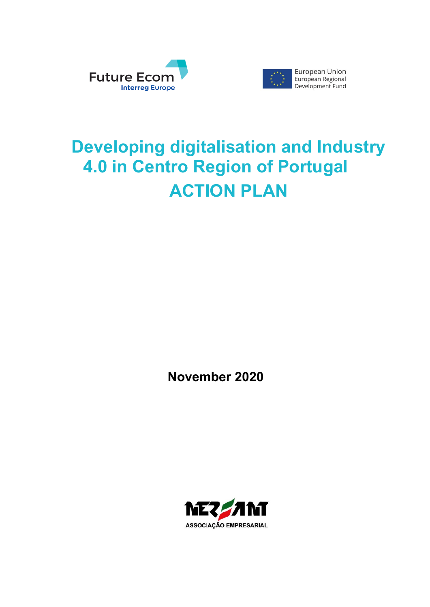



# **Developing digitalisation and Industry 4.0 in Centro Region of Portugal ACTION PLAN**

**November 2020**

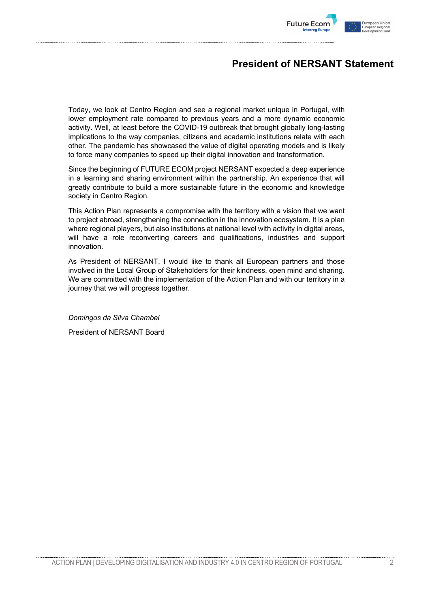

# **President of NERSANT Statement**

Today, we look at Centro Region and see a regional market unique in Portugal, with lower employment rate compared to previous years and a more dynamic economic activity. Well, at least before the COVID-19 outbreak that brought globally long-lasting implications to the way companies, citizens and academic institutions relate with each other. The pandemic has showcased the value of digital operating models and is likely to force many companies to speed up their digital innovation and transformation.

Since the beginning of FUTURE ECOM project NERSANT expected a deep experience in a learning and sharing environment within the partnership. An experience that will greatly contribute to build a more sustainable future in the economic and knowledge society in Centro Region.

This Action Plan represents a compromise with the territory with a vision that we want to project abroad, strengthening the connection in the innovation ecosystem. It is a plan where regional players, but also institutions at national level with activity in digital areas, will have a role reconverting careers and qualifications, industries and support innovation.

As President of NERSANT, I would like to thank all European partners and those involved in the Local Group of Stakeholders for their kindness, open mind and sharing. We are committed with the implementation of the Action Plan and with our territory in a journey that we will progress together.

*Domingos da Silva Chambel*

President of NERSANT Board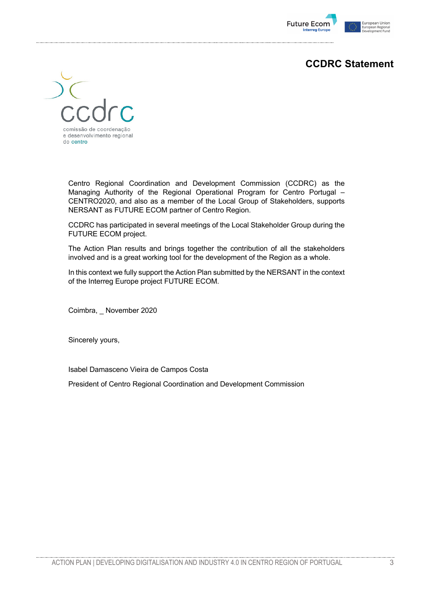

# **CCDRC Statement**



Centro Regional Coordination and Development Commission (CCDRC) as the Managing Authority of the Regional Operational Program for Centro Portugal – CENTRO2020, and also as a member of the Local Group of Stakeholders, supports NERSANT as FUTURE ECOM partner of Centro Region.

CCDRC has participated in several meetings of the Local Stakeholder Group during the FUTURE ECOM project.

The Action Plan results and brings together the contribution of all the stakeholders involved and is a great working tool for the development of the Region as a whole.

In this context we fully support the Action Plan submitted by the NERSANT in the context of the Interreg Europe project FUTURE ECOM.

Coimbra, \_ November 2020

Sincerely yours,

Isabel Damasceno Vieira de Campos Costa

President of Centro Regional Coordination and Development Commission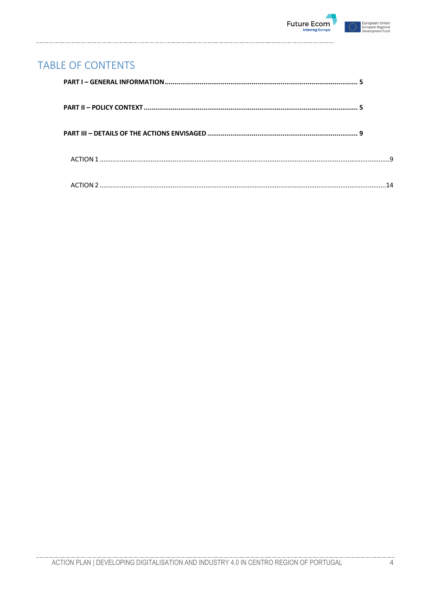

# **TABLE OF CONTENTS**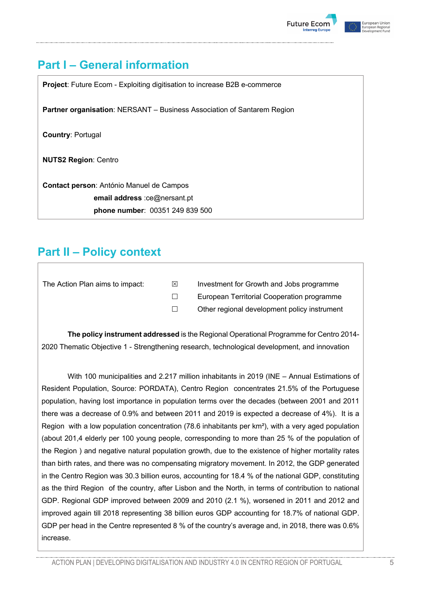



# **Part I – General information**

**Project**: Future Ecom - Exploiting digitisation to increase B2B e-commerce **Partner organisation**: NERSANT – Business Association of Santarem Region **Country**: Portugal **NUTS2 Region**: Centro **Contact person**: António Manuel de Campos **email address** :ce@nersant.pt **phone number**: 00351 249 839 500

# **Part II – Policy context**

| The Action Plan aims to impact: | ⊠ | Investment for Growth and Jobs programme     |
|---------------------------------|---|----------------------------------------------|
|                                 |   | European Territorial Cooperation programme   |
|                                 |   | Other regional development policy instrument |
|                                 |   |                                              |

**The policy instrument addressed** is the Regional Operational Programme for Centro 2014- 2020 Thematic Objective 1 - Strengthening research, technological development, and innovation

With 100 municipalities and 2.217 million inhabitants in 2019 (INE – Annual Estimations of Resident Population, Source: PORDATA), Centro Region concentrates 21.5% of the Portuguese population, having lost importance in population terms over the decades (between 2001 and 2011 there was a decrease of 0.9% and between 2011 and 2019 is expected a decrease of 4%). It is a Region with a low population concentration (78.6 inhabitants per  $km<sup>2</sup>$ ), with a very aged population (about 201,4 elderly per 100 young people, corresponding to more than 25 % of the population of the Region ) and negative natural population growth, due to the existence of higher mortality rates than birth rates, and there was no compensating migratory movement. In 2012, the GDP generated in the Centro Region was 30.3 billion euros, accounting for 18.4 % of the national GDP, constituting as the third Region of the country, after Lisbon and the North, in terms of contribution to national GDP. Regional GDP improved between 2009 and 2010 (2.1 %), worsened in 2011 and 2012 and improved again till 2018 representing 38 billion euros GDP accounting for 18.7% of national GDP. GDP per head in the Centre represented 8 % of the country's average and, in 2018, there was 0.6% increase.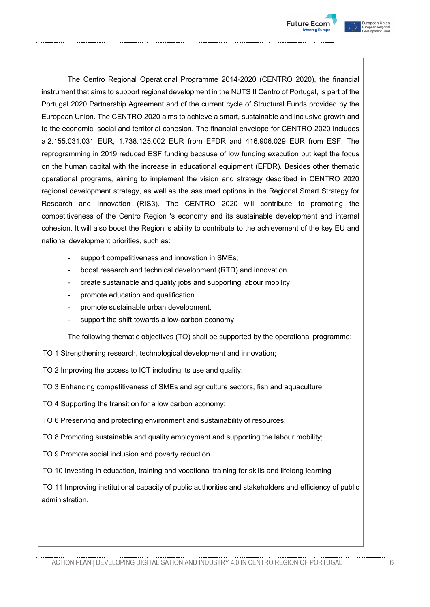



The Centro Regional Operational Programme 2014-2020 (CENTRO 2020), the financial instrument that aims to support regional development in the NUTS II Centro of Portugal, is part of the Portugal 2020 Partnership Agreement and of the current cycle of Structural Funds provided by the European Union. The CENTRO 2020 aims to achieve a smart, sustainable and inclusive growth and to the economic, social and territorial cohesion. The financial envelope for CENTRO 2020 includes a 2.155.031.031 EUR, 1.738.125.002 EUR from EFDR and 416.906.029 EUR from ESF. The reprogramming in 2019 reduced ESF funding because of low funding execution but kept the focus on the human capital with the increase in educational equipment (EFDR). Besides other thematic operational programs, aiming to implement the vision and strategy described in CENTRO 2020 regional development strategy, as well as the assumed options in the Regional Smart Strategy for Research and Innovation (RIS3). The CENTRO 2020 will contribute to promoting the competitiveness of the Centro Region 's economy and its sustainable development and internal cohesion. It will also boost the Region 's ability to contribute to the achievement of the key EU and national development priorities, such as:

- support competitiveness and innovation in SMEs;
- boost research and technical development (RTD) and innovation
- create sustainable and quality jobs and supporting labour mobility
- promote education and qualification
- promote sustainable urban development.
- support the shift towards a low-carbon economy

The following thematic objectives (TO) shall be supported by the operational programme:

- TO 1 Strengthening research, technological development and innovation;
- TO 2 Improving the access to ICT including its use and quality;
- TO 3 Enhancing competitiveness of SMEs and agriculture sectors, fish and aquaculture;
- TO 4 Supporting the transition for a low carbon economy;
- TO 6 Preserving and protecting environment and sustainability of resources;
- TO 8 Promoting sustainable and quality employment and supporting the labour mobility;
- TO 9 Promote social inclusion and poverty reduction
- TO 10 Investing in education, training and vocational training for skills and lifelong learning

TO 11 Improving institutional capacity of public authorities and stakeholders and efficiency of public administration.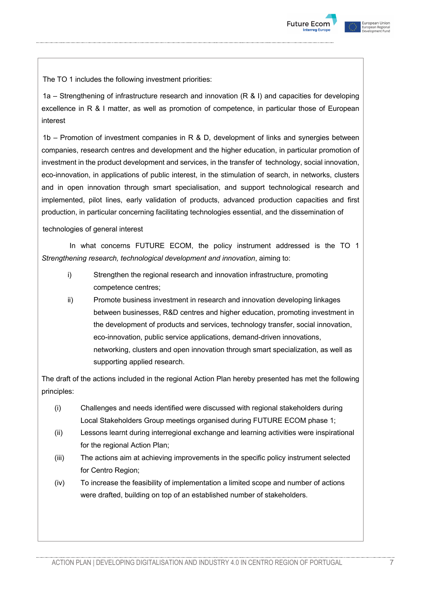



The TO 1 includes the following investment priorities:

1a – Strengthening of infrastructure research and innovation (R & I) and capacities for developing excellence in R & I matter, as well as promotion of competence, in particular those of European interest

 $1b$  – Promotion of investment companies in R & D, development of links and synergies between companies, research centres and development and the higher education, in particular promotion of investment in the product development and services, in the transfer of technology, social innovation, eco-innovation, in applications of public interest, in the stimulation of search, in networks, clusters and in open innovation through smart specialisation, and support technological research and implemented, pilot lines, early validation of products, advanced production capacities and first production, in particular concerning facilitating technologies essential, and the dissemination of

technologies of general interest

In what concerns FUTURE ECOM, the policy instrument addressed is the TO 1 *Strengthening research, technological development and innovation*, aiming to:

- i) Strengthen the regional research and innovation infrastructure, promoting competence centres;
- ii) Promote business investment in research and innovation developing linkages between businesses, R&D centres and higher education, promoting investment in the development of products and services, technology transfer, social innovation, eco-innovation, public service applications, demand-driven innovations, networking, clusters and open innovation through smart specialization, as well as supporting applied research.

The draft of the actions included in the regional Action Plan hereby presented has met the following principles:

- (i) Challenges and needs identified were discussed with regional stakeholders during Local Stakeholders Group meetings organised during FUTURE ECOM phase 1;
- (ii) Lessons learnt during interregional exchange and learning activities were inspirational for the regional Action Plan;
- (iii) The actions aim at achieving improvements in the specific policy instrument selected for Centro Region;
- (iv) To increase the feasibility of implementation a limited scope and number of actions were drafted, building on top of an established number of stakeholders.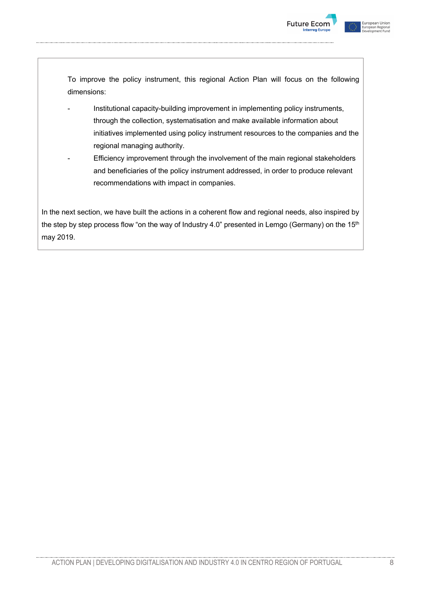



To improve the policy instrument, this regional Action Plan will focus on the following dimensions:

- Institutional capacity-building improvement in implementing policy instruments, through the collection, systematisation and make available information about initiatives implemented using policy instrument resources to the companies and the regional managing authority.
- Efficiency improvement through the involvement of the main regional stakeholders and beneficiaries of the policy instrument addressed, in order to produce relevant recommendations with impact in companies.

In the next section, we have built the actions in a coherent flow and regional needs, also inspired by the step by step process flow "on the way of Industry 4.0" presented in Lemgo (Germany) on the  $15<sup>th</sup>$ may 2019.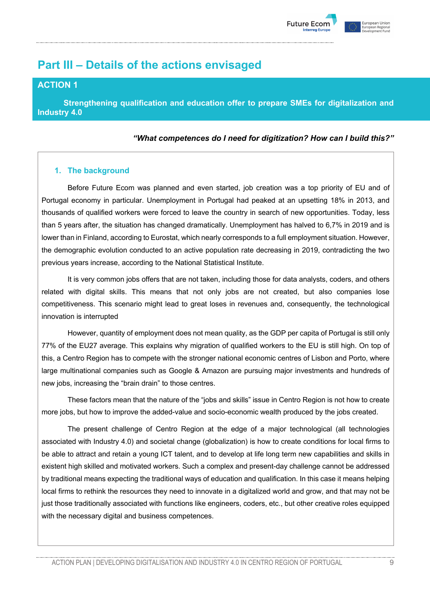

# **Part III – Details of the actions envisaged**

# **ACTION 1**

**Strengthening qualification and education offer to prepare SMEs for digitalization and Industry 4.0**

#### *"What competences do I need for digitization? How can I build this?"*

# **1. The background**

Before Future Ecom was planned and even started, job creation was a top priority of EU and of Portugal economy in particular. Unemployment in Portugal had peaked at an upsetting 18% in 2013, and thousands of qualified workers were forced to leave the country in search of new opportunities. Today, less than 5 years after, the situation has changed dramatically. Unemployment has halved to 6,7% in 2019 and is lower than in Finland, according to Eurostat, which nearly corresponds to a full employment situation. However, the demographic evolution conducted to an active population rate decreasing in 2019, contradicting the two previous years increase, according to the National Statistical Institute.

It is very common jobs offers that are not taken, including those for data analysts, coders, and others related with digital skills. This means that not only jobs are not created, but also companies lose competitiveness. This scenario might lead to great loses in revenues and, consequently, the technological innovation is interrupted

However, quantity of employment does not mean quality, as the GDP per capita of Portugal is still only 77% of the EU27 average. This explains why migration of qualified workers to the EU is still high. On top of this, a Centro Region has to compete with the stronger national economic centres of Lisbon and Porto, where large multinational companies such as Google & Amazon are pursuing major investments and hundreds of new jobs, increasing the "brain drain" to those centres.

These factors mean that the nature of the "jobs and skills" issue in Centro Region is not how to create more jobs, but how to improve the added-value and socio-economic wealth produced by the jobs created.

The present challenge of Centro Region at the edge of a major technological (all technologies associated with Industry 4.0) and societal change (globalization) is how to create conditions for local firms to be able to attract and retain a young ICT talent, and to develop at life long term new capabilities and skills in existent high skilled and motivated workers. Such a complex and present-day challenge cannot be addressed by traditional means expecting the traditional ways of education and qualification. In this case it means helping local firms to rethink the resources they need to innovate in a digitalized world and grow, and that may not be just those traditionally associated with functions like engineers, coders, etc., but other creative roles equipped with the necessary digital and business competences.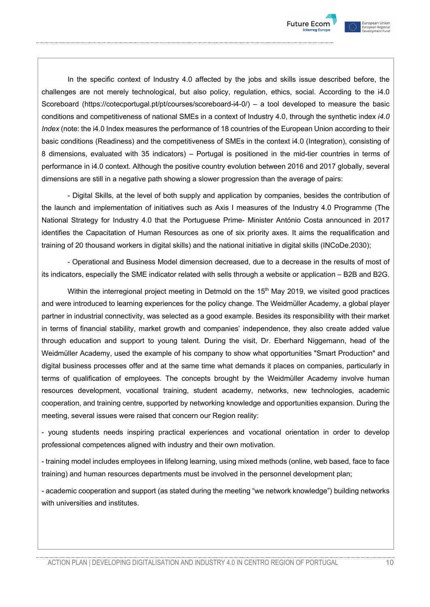



In the specific context of Industry 4.0 affected by the jobs and skills issue described before, the challenges are not merely technological, but also policy, regulation, ethics, social. According to the i4.0 Scoreboard (https://cotecportugal.pt/pt/courses/scoreboard-i4-0/) – a tool developed to measure the basic conditions and competitiveness of national SMEs in a context of Industry 4.0, through the synthetic index *i4.0 Index* (note: the i4.0 Index measures the performance of 18 countries of the European Union according to their basic conditions (Readiness) and the competitiveness of SMEs in the context i4.0 (Integration), consisting of 8 dimensions, evaluated with 35 indicators) – Portugal is positioned in the mid-tier countries in terms of performance in i4.0 context. Although the positive country evolution between 2016 and 2017 globally, several dimensions are still in a negative path showing a slower progression than the average of pairs:

- Digital Skills, at the level of both supply and application by companies, besides the contribution of the launch and implementation of initiatives such as Axis I measures of the Industry 4.0 Programme (The National Strategy for Industry 4.0 that the Portuguese Prime- Minister António Costa announced in 2017 identifies the Capacitation of Human Resources as one of six priority axes. It aims the requalification and training of 20 thousand workers in digital skills) and the national initiative in digital skills (INCoDe.2030);

- Operational and Business Model dimension decreased, due to a decrease in the results of most of its indicators, especially the SME indicator related with sells through a website or application – B2B and B2G.

Within the interregional project meeting in Detmold on the 15<sup>th</sup> May 2019, we visited good practices and were introduced to learning experiences for the policy change. The Weidmüller Academy, a global player partner in industrial connectivity, was selected as a good example. Besides its responsibility with their market in terms of financial stability, market growth and companies' independence, they also create added value through education and support to young talent. During the visit, Dr. Eberhard Niggemann, head of the Weidmüller Academy, used the example of his company to show what opportunities "Smart Production" and digital business processes offer and at the same time what demands it places on companies, particularly in terms of qualification of employees. The concepts brought by the Weidmüller Academy involve human resources development, vocational training, student academy, networks, new technologies, academic cooperation, and training centre, supported by networking knowledge and opportunities expansion. During the meeting, several issues were raised that concern our Region reality:

- young students needs inspiring practical experiences and vocational orientation in order to develop professional competences aligned with industry and their own motivation.

- training model includes employees in lifelong learning, using mixed methods (online, web based, face to face training) and human resources departments must be involved in the personnel development plan;

- academic cooperation and support (as stated during the meeting "we network knowledge") building networks with universities and institutes.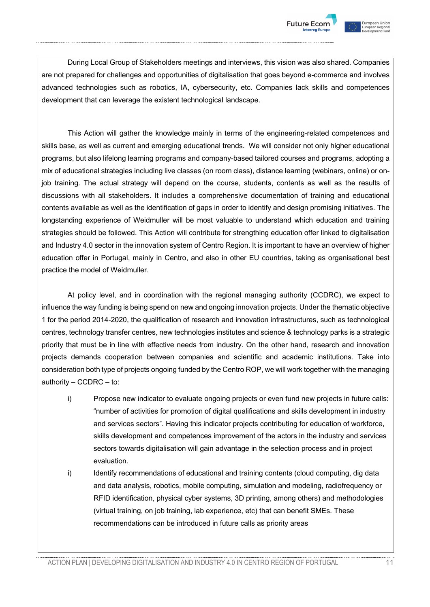



During Local Group of Stakeholders meetings and interviews, this vision was also shared. Companies are not prepared for challenges and opportunities of digitalisation that goes beyond e-commerce and involves advanced technologies such as robotics, IA, cybersecurity, etc. Companies lack skills and competences development that can leverage the existent technological landscape.

This Action will gather the knowledge mainly in terms of the engineering-related competences and skills base, as well as current and emerging educational trends. We will consider not only higher educational programs, but also lifelong learning programs and company-based tailored courses and programs, adopting a mix of educational strategies including live classes (on room class), distance learning (webinars, online) or onjob training. The actual strategy will depend on the course, students, contents as well as the results of discussions with all stakeholders. It includes a comprehensive documentation of training and educational contents available as well as the identification of gaps in order to identify and design promising initiatives. The longstanding experience of Weidmuller will be most valuable to understand which education and training strategies should be followed. This Action will contribute for strengthing education offer linked to digitalisation and Industry 4.0 sector in the innovation system of Centro Region. It is important to have an overview of higher education offer in Portugal, mainly in Centro, and also in other EU countries, taking as organisational best practice the model of Weidmuller.

At policy level, and in coordination with the regional managing authority (CCDRC), we expect to influence the way funding is being spend on new and ongoing innovation projects. Under the thematic objective 1 for the period 2014-2020, the qualification of research and innovation infrastructures, such as technological centres, technology transfer centres, new technologies institutes and science & technology parks is a strategic priority that must be in line with effective needs from industry. On the other hand, research and innovation projects demands cooperation between companies and scientific and academic institutions. Take into consideration both type of projects ongoing funded by the Centro ROP, we will work together with the managing authority – CCDRC – to:

- i) Propose new indicator to evaluate ongoing projects or even fund new projects in future calls: "number of activities for promotion of digital qualifications and skills development in industry and services sectors". Having this indicator projects contributing for education of workforce, skills development and competences improvement of the actors in the industry and services sectors towards digitalisation will gain advantage in the selection process and in project evaluation.
- i) Identify recommendations of educational and training contents (cloud computing, dig data and data analysis, robotics, mobile computing, simulation and modeling, radiofrequency or RFID identification, physical cyber systems, 3D printing, among others) and methodologies (virtual training, on job training, lab experience, etc) that can benefit SMEs. These recommendations can be introduced in future calls as priority areas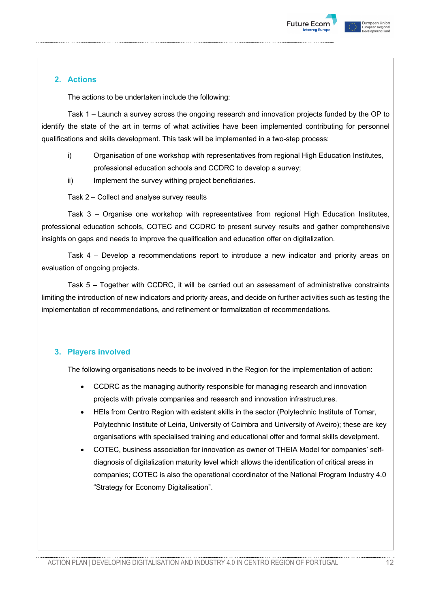



# **2. Actions**

The actions to be undertaken include the following:

Task 1 – Launch a survey across the ongoing research and innovation projects funded by the OP to identify the state of the art in terms of what activities have been implemented contributing for personnel qualifications and skills development. This task will be implemented in a two-step process:

- i) Organisation of one workshop with representatives from regional High Education Institutes, professional education schools and CCDRC to develop a survey;
- ii) Implement the survey withing project beneficiaries.

Task 2 – Collect and analyse survey results

Task 3 – Organise one workshop with representatives from regional High Education Institutes, professional education schools, COTEC and CCDRC to present survey results and gather comprehensive insights on gaps and needs to improve the qualification and education offer on digitalization.

Task 4 – Develop a recommendations report to introduce a new indicator and priority areas on evaluation of ongoing projects.

Task 5 – Together with CCDRC, it will be carried out an assessment of administrative constraints limiting the introduction of new indicators and priority areas, and decide on further activities such as testing the implementation of recommendations, and refinement or formalization of recommendations.

## **3. Players involved**

The following organisations needs to be involved in the Region for the implementation of action:

- CCDRC as the managing authority responsible for managing research and innovation projects with private companies and research and innovation infrastructures.
- HEIs from Centro Region with existent skills in the sector (Polytechnic Institute of Tomar, Polytechnic Institute of Leiria, University of Coimbra and University of Aveiro); these are key organisations with specialised training and educational offer and formal skills develpment.
- COTEC, business association for innovation as owner of THEIA Model for companies' selfdiagnosis of digitalization maturity level which allows the identification of critical areas in companies; COTEC is also the operational coordinator of the National Program Industry 4.0 "Strategy for Economy Digitalisation".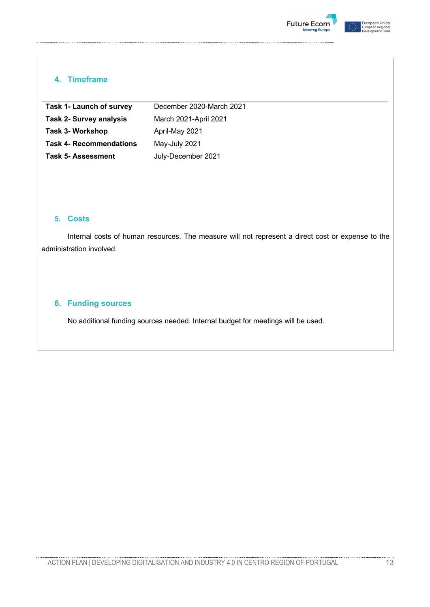



# **4. Timeframe**

| <b>Task 1- Launch of survey</b> | December 2020-March 2021 |
|---------------------------------|--------------------------|
| <b>Task 2- Survey analysis</b>  | March 2021-April 2021    |
| Task 3- Workshop                | April-May 2021           |
| <b>Task 4- Recommendations</b>  | May-July 2021            |
| <b>Task 5-Assessment</b>        | July-December 2021       |

## **5. Costs**

Internal costs of human resources. The measure will not represent a direct cost or expense to the administration involved.

# **6. Funding sources**

No additional funding sources needed. Internal budget for meetings will be used.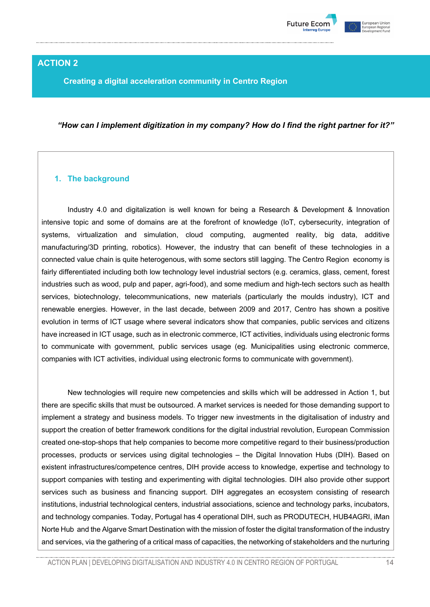

# **ACTION 2**

**Creating a digital acceleration community in Centro Region**

*"How can I implement digitization in my company? How do I find the right partner for it?"*

## **1. The background**

Industry 4.0 and digitalization is well known for being a Research & Development & Innovation intensive topic and some of domains are at the forefront of knowledge (IoT, cybersecurity, integration of systems, virtualization and simulation, cloud computing, augmented reality, big data, additive manufacturing/3D printing, robotics). However, the industry that can benefit of these technologies in a connected value chain is quite heterogenous, with some sectors still lagging. The Centro Region economy is fairly differentiated including both low technology level industrial sectors (e.g. ceramics, glass, cement, forest industries such as wood, pulp and paper, agri-food), and some medium and high-tech sectors such as health services, biotechnology, telecommunications, new materials (particularly the moulds industry), ICT and renewable energies. However, in the last decade, between 2009 and 2017, Centro has shown a positive evolution in terms of ICT usage where several indicators show that companies, public services and citizens have increased in ICT usage, such as in electronic commerce, ICT activities, individuals using electronic forms to communicate with government, public services usage (eg. Municipalities using electronic commerce, companies with ICT activities, individual using electronic forms to communicate with government).

New technologies will require new competencies and skills which will be addressed in Action 1, but there are specific skills that must be outsourced. A market services is needed for those demanding support to implement a strategy and business models. To trigger new investments in the digitalisation of industry and support the creation of better framework conditions for the digital industrial revolution, European Commission created one-stop-shops that help companies to become more competitive regard to their business/production processes, products or services using digital technologies – the Digital Innovation Hubs (DIH). Based on existent infrastructures/competence centres, DIH provide access to knowledge, expertise and technology to support companies with testing and experimenting with digital technologies. DIH also provide other support services such as business and financing support. DIH aggregates an ecosystem consisting of research institutions, industrial technological centers, industrial associations, science and technology parks, incubators, and technology companies. Today, Portugal has 4 operational DIH, such as PRODUTECH, HUB4AGRI, iMan Norte Hub and the Algarve Smart Destination with the mission of foster the digital transformation of the industry and services, via the gathering of a critical mass of capacities, the networking of stakeholders and the nurturing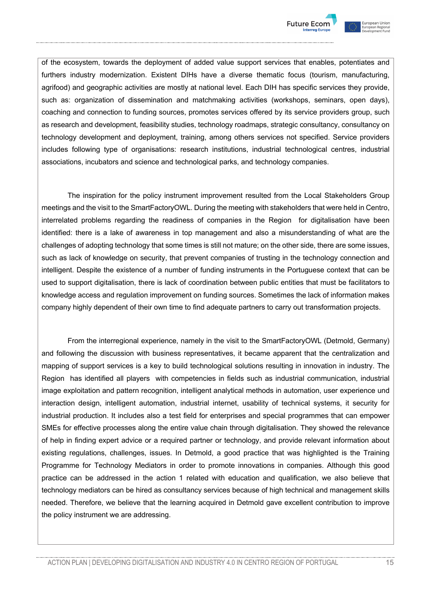



of the ecosystem, towards the deployment of added value support services that enables, potentiates and furthers industry modernization. Existent DIHs have a diverse thematic focus (tourism, manufacturing, agrifood) and geographic activities are mostly at national level. Each DIH has specific services they provide, such as: organization of dissemination and matchmaking activities (workshops, seminars, open days), coaching and connection to funding sources, promotes services offered by its service providers group, such as research and development, feasibility studies, technology roadmaps, strategic consultancy, consultancy on technology development and deployment, training, among others services not specified. Service providers includes following type of organisations: research institutions, industrial technological centres, industrial associations, incubators and science and technological parks, and technology companies.

The inspiration for the policy instrument improvement resulted from the Local Stakeholders Group meetings and the visit to the SmartFactoryOWL. During the meeting with stakeholders that were held in Centro, interrelated problems regarding the readiness of companies in the Region for digitalisation have been identified: there is a lake of awareness in top management and also a misunderstanding of what are the challenges of adopting technology that some times is still not mature; on the other side, there are some issues, such as lack of knowledge on security, that prevent companies of trusting in the technology connection and intelligent. Despite the existence of a number of funding instruments in the Portuguese context that can be used to support digitalisation, there is lack of coordination between public entities that must be facilitators to knowledge access and regulation improvement on funding sources. Sometimes the lack of information makes company highly dependent of their own time to find adequate partners to carry out transformation projects.

From the interregional experience, namely in the visit to the SmartFactoryOWL (Detmold, Germany) and following the discussion with business representatives, it became apparent that the centralization and mapping of support services is a key to build technological solutions resulting in innovation in industry. The Region has identified all players with competencies in fields such as industrial communication, industrial image exploitation and pattern recognition, intelligent analytical methods in automation, user experience und interaction design, intelligent automation, industrial internet, usability of technical systems, it security for industrial production. It includes also a test field for enterprises and special programmes that can empower SMEs for effective processes along the entire value chain through digitalisation. They showed the relevance of help in finding expert advice or a required partner or technology, and provide relevant information about existing regulations, challenges, issues. In Detmold, a good practice that was highlighted is the Training Programme for Technology Mediators in order to promote innovations in companies. Although this good practice can be addressed in the action 1 related with education and qualification, we also believe that technology mediators can be hired as consultancy services because of high technical and management skills needed. Therefore, we believe that the learning acquired in Detmold gave excellent contribution to improve the policy instrument we are addressing.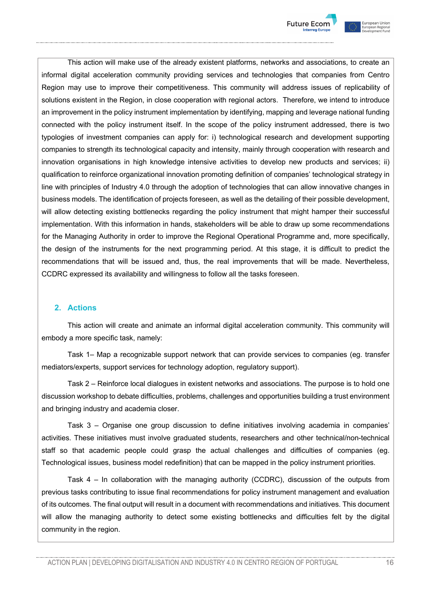



This action will make use of the already existent platforms, networks and associations, to create an informal digital acceleration community providing services and technologies that companies from Centro Region may use to improve their competitiveness. This community will address issues of replicability of solutions existent in the Region, in close cooperation with regional actors. Therefore, we intend to introduce an improvement in the policy instrument implementation by identifying, mapping and leverage national funding connected with the policy instrument itself. In the scope of the policy instrument addressed, there is two typologies of investment companies can apply for: i) technological research and development supporting companies to strength its technological capacity and intensity, mainly through cooperation with research and innovation organisations in high knowledge intensive activities to develop new products and services; ii) qualification to reinforce organizational innovation promoting definition of companies' technological strategy in line with principles of Industry 4.0 through the adoption of technologies that can allow innovative changes in business models. The identification of projects foreseen, as well as the detailing of their possible development, will allow detecting existing bottlenecks regarding the policy instrument that might hamper their successful implementation. With this information in hands, stakeholders will be able to draw up some recommendations for the Managing Authority in order to improve the Regional Operational Programme and, more specifically, the design of the instruments for the next programming period. At this stage, it is difficult to predict the recommendations that will be issued and, thus, the real improvements that will be made. Nevertheless, CCDRC expressed its availability and willingness to follow all the tasks foreseen.

## **2. Actions**

This action will create and animate an informal digital acceleration community. This community will embody a more specific task, namely:

Task 1– Map a recognizable support network that can provide services to companies (eg. transfer mediators/experts, support services for technology adoption, regulatory support).

Task 2 – Reinforce local dialogues in existent networks and associations. The purpose is to hold one discussion workshop to debate difficulties, problems, challenges and opportunities building a trust environment and bringing industry and academia closer.

Task 3 – Organise one group discussion to define initiatives involving academia in companies' activities. These initiatives must involve graduated students, researchers and other technical/non-technical staff so that academic people could grasp the actual challenges and difficulties of companies (eg. Technological issues, business model redefinition) that can be mapped in the policy instrument priorities.

Task 4 – In collaboration with the managing authority (CCDRC), discussion of the outputs from previous tasks contributing to issue final recommendations for policy instrument management and evaluation of its outcomes. The final output will result in a document with recommendations and initiatives. This document will allow the managing authority to detect some existing bottlenecks and difficulties felt by the digital community in the region.